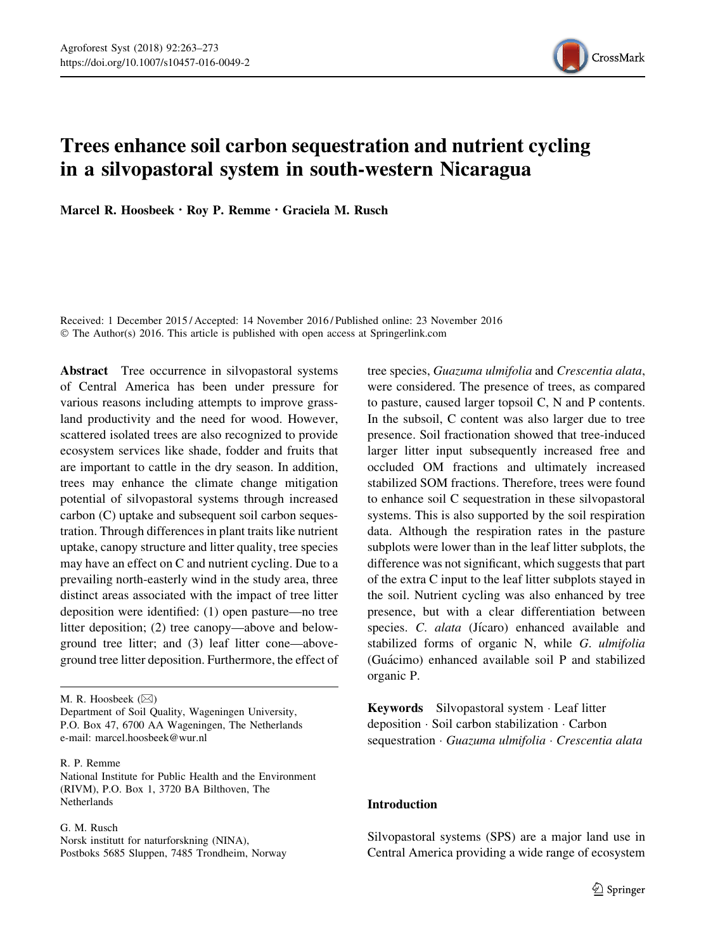

# Trees enhance soil carbon sequestration and nutrient cycling in a silvopastoral system in south-western Nicaragua

Marcel R. Hoosbeek · Roy P. Remme · Graciela M. Rusch

Received: 1 December 2015 / Accepted: 14 November 2016 / Published online: 23 November 2016 © The Author(s) 2016. This article is published with open access at Springerlink.com

Abstract Tree occurrence in silvopastoral systems of Central America has been under pressure for various reasons including attempts to improve grassland productivity and the need for wood. However, scattered isolated trees are also recognized to provide ecosystem services like shade, fodder and fruits that are important to cattle in the dry season. In addition, trees may enhance the climate change mitigation potential of silvopastoral systems through increased carbon (C) uptake and subsequent soil carbon sequestration. Through differences in plant traits like nutrient uptake, canopy structure and litter quality, tree species may have an effect on C and nutrient cycling. Due to a prevailing north-easterly wind in the study area, three distinct areas associated with the impact of tree litter deposition were identified: (1) open pasture—no tree litter deposition; (2) tree canopy—above and belowground tree litter; and (3) leaf litter cone—aboveground tree litter deposition. Furthermore, the effect of

M. R. Hoosbeek  $(\boxtimes)$ 

Department of Soil Quality, Wageningen University, P.O. Box 47, 6700 AA Wageningen, The Netherlands e-mail: marcel.hoosbeek@wur.nl

R. P. Remme

National Institute for Public Health and the Environment (RIVM), P.O. Box 1, 3720 BA Bilthoven, The Netherlands

## G. M. Rusch

Norsk institutt for naturforskning (NINA), Postboks 5685 Sluppen, 7485 Trondheim, Norway tree species, Guazuma ulmifolia and Crescentia alata, were considered. The presence of trees, as compared to pasture, caused larger topsoil C, N and P contents. In the subsoil, C content was also larger due to tree presence. Soil fractionation showed that tree-induced larger litter input subsequently increased free and occluded OM fractions and ultimately increased stabilized SOM fractions. Therefore, trees were found to enhance soil C sequestration in these silvopastoral systems. This is also supported by the soil respiration data. Although the respiration rates in the pasture subplots were lower than in the leaf litter subplots, the difference was not significant, which suggests that part of the extra C input to the leaf litter subplots stayed in the soil. Nutrient cycling was also enhanced by tree presence, but with a clear differentiation between species. C. alata (Jícaro) enhanced available and stabilized forms of organic N, while G. ulmifolia (Gua´cimo) enhanced available soil P and stabilized organic P.

Keywords Silvopastoral system - Leaf litter deposition - Soil carbon stabilization - Carbon sequestration · Guazuma ulmifolia · Crescentia alata

# Introduction

Silvopastoral systems (SPS) are a major land use in Central America providing a wide range of ecosystem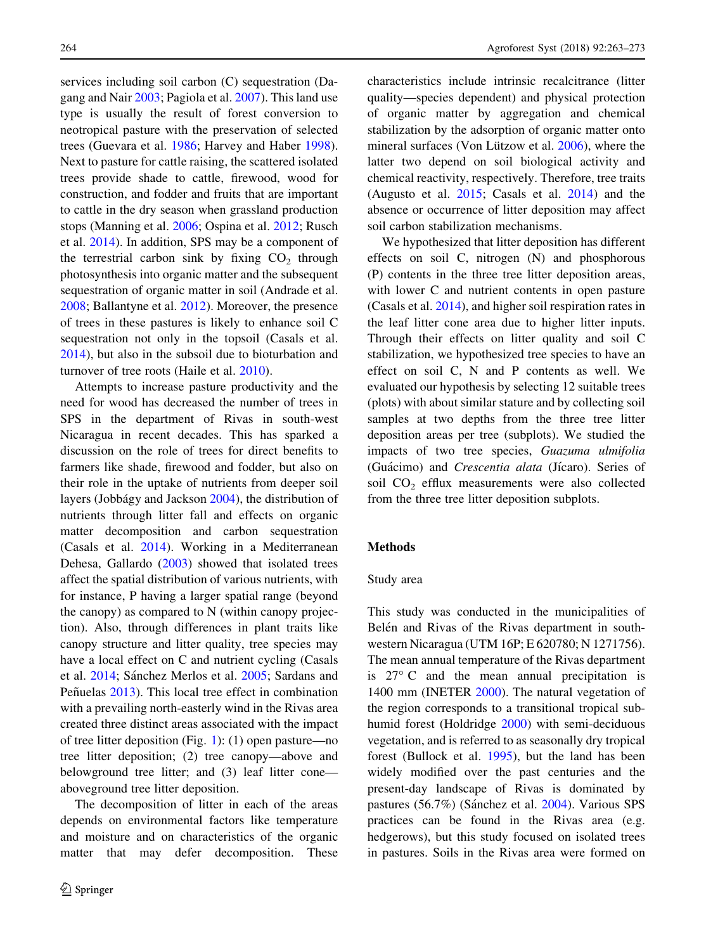services including soil carbon (C) sequestration (Dagang and Nair [2003](#page-10-0); Pagiola et al. [2007](#page-10-0)). This land use type is usually the result of forest conversion to neotropical pasture with the preservation of selected trees (Guevara et al. [1986;](#page-10-0) Harvey and Haber [1998](#page-10-0)). Next to pasture for cattle raising, the scattered isolated trees provide shade to cattle, firewood, wood for construction, and fodder and fruits that are important to cattle in the dry season when grassland production stops (Manning et al. [2006;](#page-10-0) Ospina et al. [2012;](#page-10-0) Rusch et al. [2014](#page-10-0)). In addition, SPS may be a component of the terrestrial carbon sink by fixing  $CO<sub>2</sub>$  through photosynthesis into organic matter and the subsequent sequestration of organic matter in soil (Andrade et al. [2008;](#page-9-0) Ballantyne et al. [2012\)](#page-9-0). Moreover, the presence of trees in these pastures is likely to enhance soil C sequestration not only in the topsoil (Casals et al. [2014\)](#page-9-0), but also in the subsoil due to bioturbation and turnover of tree roots (Haile et al. [2010\)](#page-10-0).

Attempts to increase pasture productivity and the need for wood has decreased the number of trees in SPS in the department of Rivas in south-west Nicaragua in recent decades. This has sparked a discussion on the role of trees for direct benefits to farmers like shade, firewood and fodder, but also on their role in the uptake of nutrients from deeper soil layers (Jobbágy and Jackson [2004\)](#page-10-0), the distribution of nutrients through litter fall and effects on organic matter decomposition and carbon sequestration (Casals et al. [2014](#page-9-0)). Working in a Mediterranean Dehesa, Gallardo ([2003\)](#page-10-0) showed that isolated trees affect the spatial distribution of various nutrients, with for instance, P having a larger spatial range (beyond the canopy) as compared to N (within canopy projection). Also, through differences in plant traits like canopy structure and litter quality, tree species may have a local effect on C and nutrient cycling (Casals et al. [2014](#page-9-0); Sánchez Merlos et al. [2005](#page-10-0); Sardans and Peñuelas [2013](#page-10-0)). This local tree effect in combination with a prevailing north-easterly wind in the Rivas area created three distinct areas associated with the impact of tree litter deposition (Fig. [1](#page-2-0)): (1) open pasture—no tree litter deposition; (2) tree canopy—above and belowground tree litter; and (3) leaf litter cone aboveground tree litter deposition.

The decomposition of litter in each of the areas depends on environmental factors like temperature and moisture and on characteristics of the organic matter that may defer decomposition. These characteristics include intrinsic recalcitrance (litter quality—species dependent) and physical protection of organic matter by aggregation and chemical stabilization by the adsorption of organic matter onto mineral surfaces (Von Lützow et al.  $2006$ ), where the latter two depend on soil biological activity and chemical reactivity, respectively. Therefore, tree traits (Augusto et al. [2015](#page-9-0); Casals et al. [2014](#page-9-0)) and the absence or occurrence of litter deposition may affect soil carbon stabilization mechanisms.

We hypothesized that litter deposition has different effects on soil C, nitrogen (N) and phosphorous (P) contents in the three tree litter deposition areas, with lower C and nutrient contents in open pasture (Casals et al. [2014\)](#page-9-0), and higher soil respiration rates in the leaf litter cone area due to higher litter inputs. Through their effects on litter quality and soil C stabilization, we hypothesized tree species to have an effect on soil C, N and P contents as well. We evaluated our hypothesis by selecting 12 suitable trees (plots) with about similar stature and by collecting soil samples at two depths from the three tree litter deposition areas per tree (subplots). We studied the impacts of two tree species, Guazuma ulmifolia (Guácimo) and Crescentia alata (Jícaro). Series of soil CO<sub>2</sub> efflux measurements were also collected from the three tree litter deposition subplots.

#### Methods

#### Study area

This study was conducted in the municipalities of Belén and Rivas of the Rivas department in southwestern Nicaragua (UTM 16P; E 620780; N 1271756). The mean annual temperature of the Rivas department is  $27^{\circ}$  C and the mean annual precipitation is 1400 mm (INETER [2000\)](#page-10-0). The natural vegetation of the region corresponds to a transitional tropical subhumid forest (Holdridge [2000\)](#page-10-0) with semi-deciduous vegetation, and is referred to as seasonally dry tropical forest (Bullock et al. [1995\)](#page-9-0), but the land has been widely modified over the past centuries and the present-day landscape of Rivas is dominated by pastures (56.7%) (Sánchez et al. [2004\)](#page-10-0). Various SPS practices can be found in the Rivas area (e.g. hedgerows), but this study focused on isolated trees in pastures. Soils in the Rivas area were formed on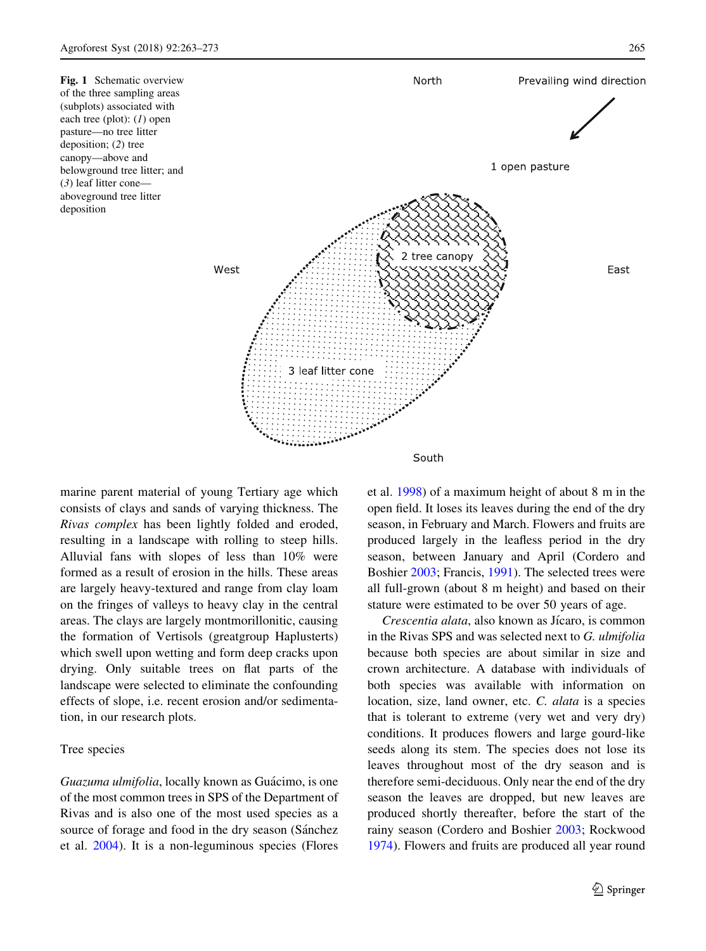<span id="page-2-0"></span>Fig. 1 Schematic overview of the three sampling areas (subplots) associated with each tree (plot): (1) open pasture—no tree litter deposition; (2) tree canopy—above and belowground tree litter; and (3) leaf litter cone aboveground tree litter deposition



marine parent material of young Tertiary age which consists of clays and sands of varying thickness. The Rivas complex has been lightly folded and eroded, resulting in a landscape with rolling to steep hills. Alluvial fans with slopes of less than 10% were formed as a result of erosion in the hills. These areas are largely heavy-textured and range from clay loam on the fringes of valleys to heavy clay in the central areas. The clays are largely montmorillonitic, causing the formation of Vertisols (greatgroup Haplusterts) which swell upon wetting and form deep cracks upon drying. Only suitable trees on flat parts of the landscape were selected to eliminate the confounding effects of slope, i.e. recent erosion and/or sedimentation, in our research plots.

## Tree species

Guazuma ulmifolia, locally known as Guácimo, is one of the most common trees in SPS of the Department of Rivas and is also one of the most used species as a source of forage and food in the dry season (Sánchez) et al. [2004](#page-10-0)). It is a non-leguminous species (Flores et al. [1998](#page-10-0)) of a maximum height of about 8 m in the open field. It loses its leaves during the end of the dry season, in February and March. Flowers and fruits are produced largely in the leafless period in the dry season, between January and April (Cordero and Boshier [2003](#page-10-0); Francis, [1991](#page-10-0)). The selected trees were all full-grown (about 8 m height) and based on their stature were estimated to be over 50 years of age.

Crescentia alata, also known as Jícaro, is common in the Rivas SPS and was selected next to G. ulmifolia because both species are about similar in size and crown architecture. A database with individuals of both species was available with information on location, size, land owner, etc. C. alata is a species that is tolerant to extreme (very wet and very dry) conditions. It produces flowers and large gourd-like seeds along its stem. The species does not lose its leaves throughout most of the dry season and is therefore semi-deciduous. Only near the end of the dry season the leaves are dropped, but new leaves are produced shortly thereafter, before the start of the rainy season (Cordero and Boshier [2003;](#page-10-0) Rockwood [1974\)](#page-10-0). Flowers and fruits are produced all year round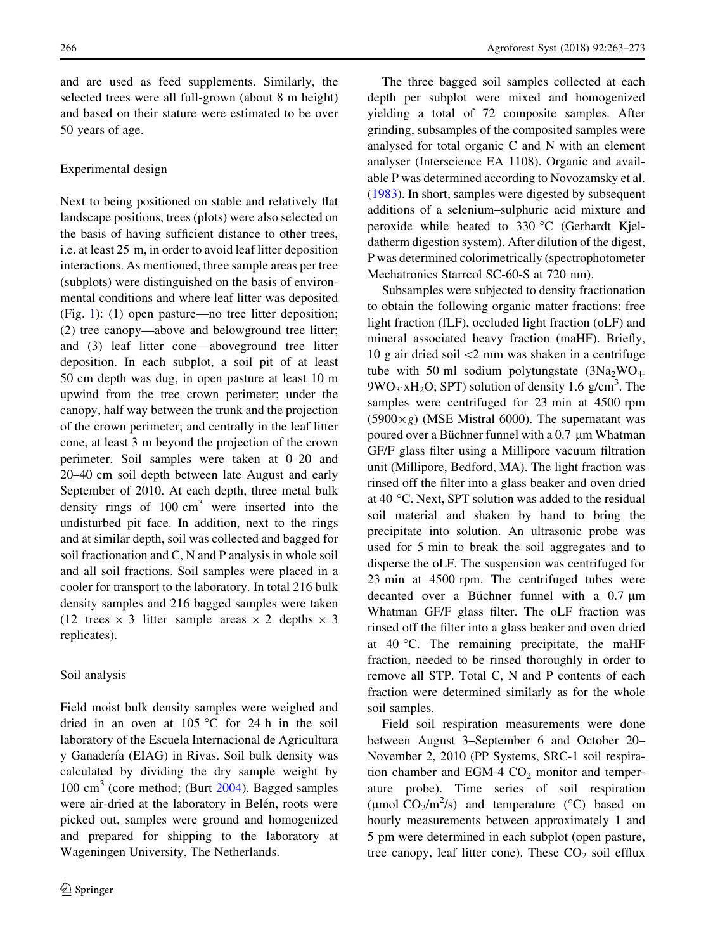and are used as feed supplements. Similarly, the selected trees were all full-grown (about 8 m height) and based on their stature were estimated to be over 50 years of age.

# Experimental design

Next to being positioned on stable and relatively flat landscape positions, trees (plots) were also selected on the basis of having sufficient distance to other trees, i.e. at least 25 m, in order to avoid leaf litter deposition interactions. As mentioned, three sample areas per tree (subplots) were distinguished on the basis of environmental conditions and where leaf litter was deposited (Fig. [1](#page-2-0)): (1) open pasture—no tree litter deposition; (2) tree canopy—above and belowground tree litter; and (3) leaf litter cone—aboveground tree litter deposition. In each subplot, a soil pit of at least 50 cm depth was dug, in open pasture at least 10 m upwind from the tree crown perimeter; under the canopy, half way between the trunk and the projection of the crown perimeter; and centrally in the leaf litter cone, at least 3 m beyond the projection of the crown perimeter. Soil samples were taken at 0–20 and 20–40 cm soil depth between late August and early September of 2010. At each depth, three metal bulk density rings of  $100 \text{ cm}^3$  were inserted into the undisturbed pit face. In addition, next to the rings and at similar depth, soil was collected and bagged for soil fractionation and C, N and P analysis in whole soil and all soil fractions. Soil samples were placed in a cooler for transport to the laboratory. In total 216 bulk density samples and 216 bagged samples were taken (12 trees  $\times$  3 litter sample areas  $\times$  2 depths  $\times$  3 replicates).

## Soil analysis

Field moist bulk density samples were weighed and dried in an oven at  $105^{\circ}$ C for 24 h in the soil laboratory of the Escuela Internacional de Agricultura y Ganadería (EIAG) in Rivas. Soil bulk density was calculated by dividing the dry sample weight by  $100 \text{ cm}^3$  (core method; (Burt [2004\)](#page-9-0). Bagged samples were air-dried at the laboratory in Belén, roots were picked out, samples were ground and homogenized and prepared for shipping to the laboratory at Wageningen University, The Netherlands.

The three bagged soil samples collected at each depth per subplot were mixed and homogenized yielding a total of 72 composite samples. After grinding, subsamples of the composited samples were analysed for total organic C and N with an element analyser (Interscience EA 1108). Organic and available P was determined according to Novozamsky et al. [\(1983](#page-10-0)). In short, samples were digested by subsequent additions of a selenium–sulphuric acid mixture and peroxide while heated to 330 °C (Gerhardt Kjeldatherm digestion system). After dilution of the digest, P was determined colorimetrically (spectrophotometer Mechatronics Starrcol SC-60-S at 720 nm).

Subsamples were subjected to density fractionation to obtain the following organic matter fractions: free light fraction (fLF), occluded light fraction (oLF) and mineral associated heavy fraction (maHF). Briefly, 10 g air dried soil  $\leq$  mm was shaken in a centrifuge tube with 50 ml sodium polytungstate  $(3Na<sub>2</sub>WO<sub>4</sub>)$  $9WO_3 \cdot xH_2O$ ; SPT) solution of density 1.6 g/cm<sup>3</sup>. The samples were centrifuged for 23 min at 4500 rpm  $(5900 \times g)$  (MSE Mistral 6000). The supernatant was poured over a Büchner funnel with a  $0.7 \mu m$  Whatman GF/F glass filter using a Millipore vacuum filtration unit (Millipore, Bedford, MA). The light fraction was rinsed off the filter into a glass beaker and oven dried at 40  $\degree$ C. Next, SPT solution was added to the residual soil material and shaken by hand to bring the precipitate into solution. An ultrasonic probe was used for 5 min to break the soil aggregates and to disperse the oLF. The suspension was centrifuged for 23 min at 4500 rpm. The centrifuged tubes were decanted over a Büchner funnel with a  $0.7 \mu m$ Whatman GF/F glass filter. The oLF fraction was rinsed off the filter into a glass beaker and oven dried at  $40^{\circ}$ C. The remaining precipitate, the maHF fraction, needed to be rinsed thoroughly in order to remove all STP. Total C, N and P contents of each fraction were determined similarly as for the whole soil samples.

Field soil respiration measurements were done between August 3–September 6 and October 20– November 2, 2010 (PP Systems, SRC-1 soil respiration chamber and EGM-4  $CO<sub>2</sub>$  monitor and temperature probe). Time series of soil respiration ( $\mu$ mol CO<sub>2</sub>/m<sup>2</sup>/s) and temperature (°C) based on hourly measurements between approximately 1 and 5 pm were determined in each subplot (open pasture, tree canopy, leaf litter cone). These  $CO<sub>2</sub>$  soil efflux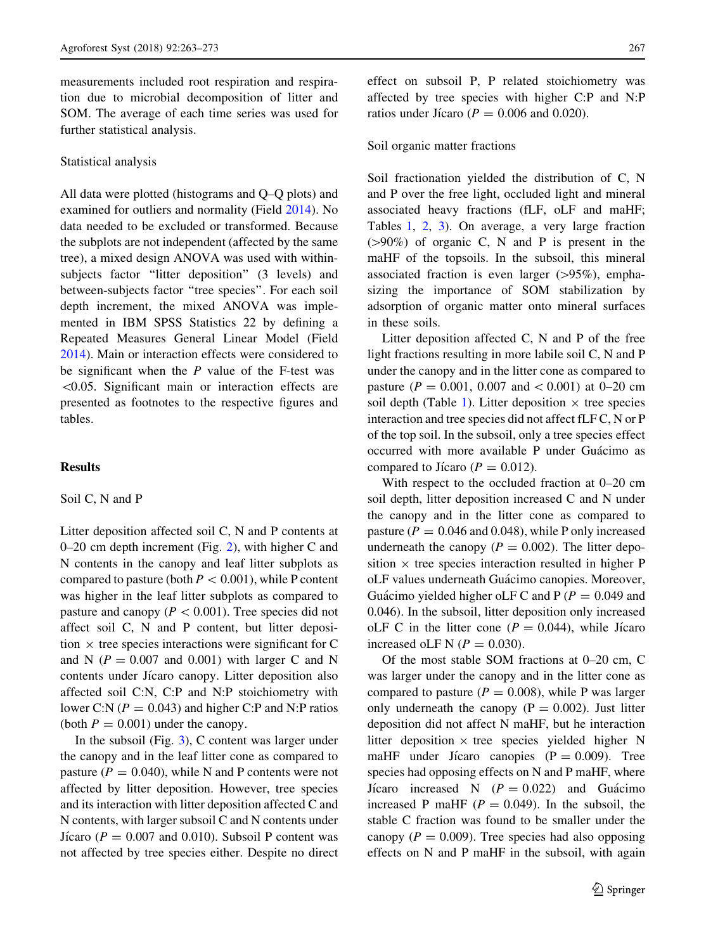measurements included root respiration and respiration due to microbial decomposition of litter and SOM. The average of each time series was used for further statistical analysis.

#### Statistical analysis

All data were plotted (histograms and Q–Q plots) and examined for outliers and normality (Field [2014](#page-10-0)). No data needed to be excluded or transformed. Because the subplots are not independent (affected by the same tree), a mixed design ANOVA was used with withinsubjects factor "litter deposition" (3 levels) and between-subjects factor ''tree species''. For each soil depth increment, the mixed ANOVA was implemented in IBM SPSS Statistics 22 by defining a Repeated Measures General Linear Model (Field [2014\)](#page-10-0). Main or interaction effects were considered to be significant when the  $P$  value of the F-test was  $<$ 0.05. Significant main or interaction effects are presented as footnotes to the respective figures and tables.

# Results

# Soil C, N and P

Litter deposition affected soil C, N and P contents at 0–20 cm depth increment (Fig. [2\)](#page-5-0), with higher C and N contents in the canopy and leaf litter subplots as compared to pasture (both  $P < 0.001$ ), while P content was higher in the leaf litter subplots as compared to pasture and canopy ( $P < 0.001$ ). Tree species did not affect soil C, N and P content, but litter deposition  $\times$  tree species interactions were significant for C and N ( $P = 0.007$  and 0.001) with larger C and N contents under Jícaro canopy. Litter deposition also affected soil C:N, C:P and N:P stoichiometry with lower C:N ( $P = 0.043$ ) and higher C:P and N:P ratios (both  $P = 0.001$ ) under the canopy.

In the subsoil (Fig. [3](#page-6-0)), C content was larger under the canopy and in the leaf litter cone as compared to pasture ( $P = 0.040$ ), while N and P contents were not affected by litter deposition. However, tree species and its interaction with litter deposition affected C and N contents, with larger subsoil C and N contents under Ji´caro ( $P = 0.007$  and 0.010). Subsoil P content was not affected by tree species either. Despite no direct effect on subsoil P, P related stoichiometry was affected by tree species with higher C:P and N:P ratios under Jícaro ( $P = 0.006$  and 0.020).

#### Soil organic matter fractions

Soil fractionation yielded the distribution of C, N and P over the free light, occluded light and mineral associated heavy fractions (fLF, oLF and maHF; Tables [1,](#page-6-0) [2](#page-7-0), [3\)](#page-7-0). On average, a very large fraction  $(>90%)$  of organic C, N and P is present in the maHF of the topsoils. In the subsoil, this mineral associated fraction is even larger  $(>\!\!95\%)$ , emphasizing the importance of SOM stabilization by adsorption of organic matter onto mineral surfaces in these soils.

Litter deposition affected C, N and P of the free light fractions resulting in more labile soil C, N and P under the canopy and in the litter cone as compared to pasture ( $P = 0.001$ , 0.007 and  $< 0.001$ ) at 0–20 cm soil depth (Table [1](#page-6-0)). Litter deposition  $\times$  tree species interaction and tree species did not affect fLF C, N or P of the top soil. In the subsoil, only a tree species effect occurred with more available P under Guácimo as compared to Jícaro ( $P = 0.012$ ).

With respect to the occluded fraction at 0–20 cm soil depth, litter deposition increased C and N under the canopy and in the litter cone as compared to pasture ( $P = 0.046$  and 0.048), while P only increased underneath the canopy ( $P = 0.002$ ). The litter deposition  $\times$  tree species interaction resulted in higher P oLF values underneath Guácimo canopies. Moreover, Guácimo yielded higher oLF C and P ( $P = 0.049$  and 0.046). In the subsoil, litter deposition only increased oLF C in the litter cone ( $P = 0.044$ ), while Jicaro increased oLF N  $(P = 0.030)$ .

Of the most stable SOM fractions at 0–20 cm, C was larger under the canopy and in the litter cone as compared to pasture ( $P = 0.008$ ), while P was larger only underneath the canopy  $(P = 0.002)$ . Just litter deposition did not affect N maHF, but he interaction litter deposition  $\times$  tree species yielded higher N maHF under Jicaro canopies  $(P = 0.009)$ . Tree species had opposing effects on N and P maHF, where Jicaro increased N  $(P = 0.022)$  and Guácimo increased P maHF ( $P = 0.049$ ). In the subsoil, the stable C fraction was found to be smaller under the canopy ( $P = 0.009$ ). Tree species had also opposing effects on N and P maHF in the subsoil, with again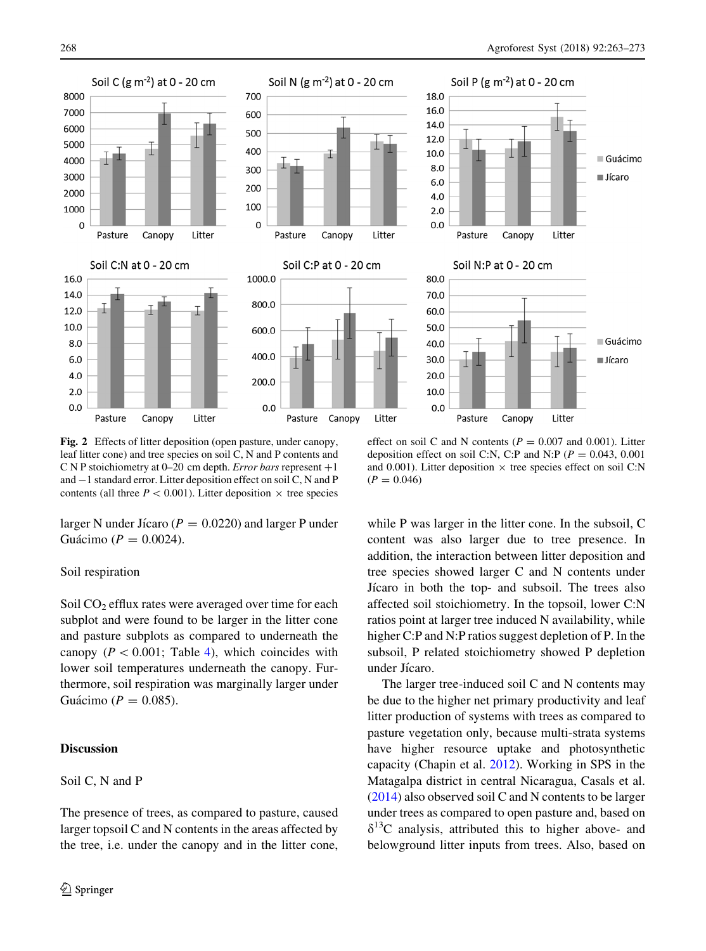<span id="page-5-0"></span>

Fig. 2 Effects of litter deposition (open pasture, under canopy, leaf litter cone) and tree species on soil C, N and P contents and C N P stoichiometry at 0–20 cm depth. *Error bars* represent  $+1$ and  $-1$  standard error. Litter deposition effect on soil C, N and P contents (all three  $P < 0.001$ ). Litter deposition  $\times$  tree species

larger N under Jícaro ( $P = 0.0220$ ) and larger P under Guácimo ( $P = 0.0024$ ).

## Soil respiration

Soil  $CO<sub>2</sub>$  efflux rates were averaged over time for each subplot and were found to be larger in the litter cone and pasture subplots as compared to underneath the canopy ( $P < 0.001$ ; Table [4](#page-8-0)), which coincides with lower soil temperatures underneath the canopy. Furthermore, soil respiration was marginally larger under Guácimo ( $P = 0.085$ ).

# Discussion

# Soil C, N and P

The presence of trees, as compared to pasture, caused larger topsoil C and N contents in the areas affected by the tree, i.e. under the canopy and in the litter cone,

effect on soil C and N contents ( $P = 0.007$  and 0.001). Litter deposition effect on soil C:N, C:P and N:P ( $P = 0.043, 0.001$ ) and 0.001). Litter deposition  $\times$  tree species effect on soil C:N  $(P = 0.046)$ 

while P was larger in the litter cone. In the subsoil, C content was also larger due to tree presence. In addition, the interaction between litter deposition and tree species showed larger C and N contents under Jícaro in both the top- and subsoil. The trees also affected soil stoichiometry. In the topsoil, lower C:N ratios point at larger tree induced N availability, while higher C:P and N:P ratios suggest depletion of P. In the subsoil, P related stoichiometry showed P depletion under Jícaro.

The larger tree-induced soil C and N contents may be due to the higher net primary productivity and leaf litter production of systems with trees as compared to pasture vegetation only, because multi-strata systems have higher resource uptake and photosynthetic capacity (Chapin et al. [2012\)](#page-10-0). Working in SPS in the Matagalpa district in central Nicaragua, Casals et al. [\(2014](#page-9-0)) also observed soil C and N contents to be larger under trees as compared to open pasture and, based on  $\delta^{13}$ C analysis, attributed this to higher above- and belowground litter inputs from trees. Also, based on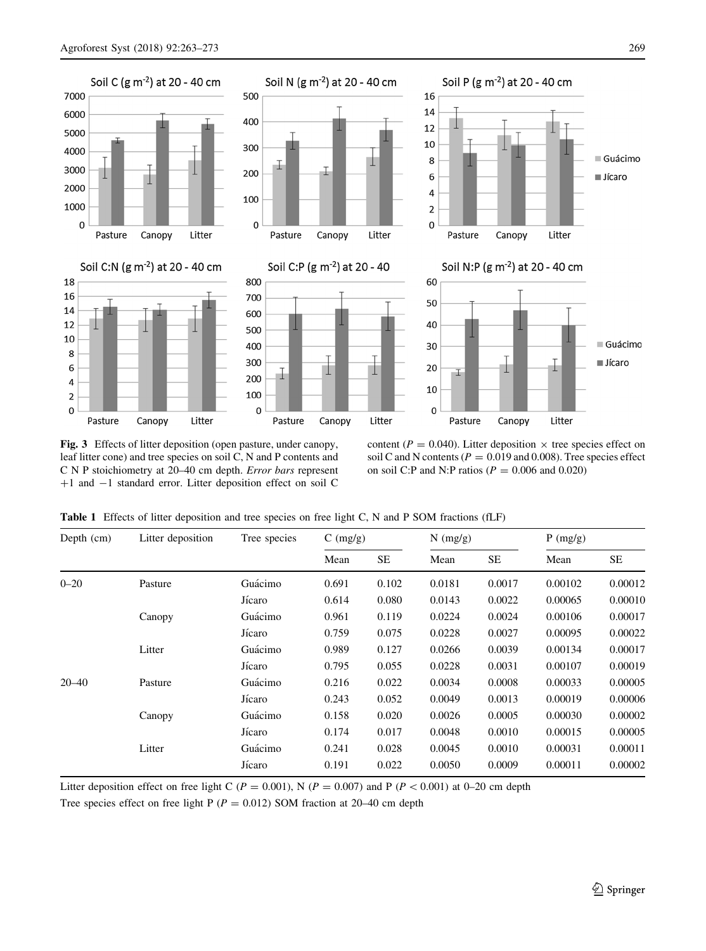<span id="page-6-0"></span>

Fig. 3 Effects of litter deposition (open pasture, under canopy, leaf litter cone) and tree species on soil C, N and P contents and C N P stoichiometry at 20–40 cm depth. Error bars represent +1 and -1 standard error. Litter deposition effect on soil C

content ( $P = 0.040$ ). Litter deposition  $\times$  tree species effect on soil C and N contents ( $P = 0.019$  and 0.008). Tree species effect on soil C:P and N:P ratios ( $P = 0.006$  and 0.020)

Table 1 Effects of litter deposition and tree species on free light C, N and P SOM fractions (fLF)

| Depth (cm) | Litter deposition | Tree species | $C \left( \frac{mg}{g} \right)$ |           | $N$ (mg/g) |        | P(mg/g) |           |
|------------|-------------------|--------------|---------------------------------|-----------|------------|--------|---------|-----------|
|            |                   |              | Mean                            | <b>SE</b> | Mean       | SE     | Mean    | <b>SE</b> |
| $0 - 20$   | Pasture           | Guácimo      | 0.691                           | 0.102     | 0.0181     | 0.0017 | 0.00102 | 0.00012   |
|            |                   | Jícaro       | 0.614                           | 0.080     | 0.0143     | 0.0022 | 0.00065 | 0.00010   |
|            | Canopy            | Guácimo      | 0.961                           | 0.119     | 0.0224     | 0.0024 | 0.00106 | 0.00017   |
|            |                   | Jícaro       | 0.759                           | 0.075     | 0.0228     | 0.0027 | 0.00095 | 0.00022   |
|            | Litter            | Guácimo      | 0.989                           | 0.127     | 0.0266     | 0.0039 | 0.00134 | 0.00017   |
|            |                   | Jícaro       | 0.795                           | 0.055     | 0.0228     | 0.0031 | 0.00107 | 0.00019   |
| $20 - 40$  | Pasture           | Guácimo      | 0.216                           | 0.022     | 0.0034     | 0.0008 | 0.00033 | 0.00005   |
|            |                   | Jícaro       | 0.243                           | 0.052     | 0.0049     | 0.0013 | 0.00019 | 0.00006   |
|            | Canopy            | Guácimo      | 0.158                           | 0.020     | 0.0026     | 0.0005 | 0.00030 | 0.00002   |
|            |                   | Jícaro       | 0.174                           | 0.017     | 0.0048     | 0.0010 | 0.00015 | 0.00005   |
|            | Litter            | Guácimo      | 0.241                           | 0.028     | 0.0045     | 0.0010 | 0.00031 | 0.00011   |
|            |                   | Jícaro       | 0.191                           | 0.022     | 0.0050     | 0.0009 | 0.00011 | 0.00002   |

Litter deposition effect on free light C ( $P = 0.001$ ), N ( $P = 0.007$ ) and P ( $P < 0.001$ ) at 0–20 cm depth

Tree species effect on free light P ( $P = 0.012$ ) SOM fraction at 20–40 cm depth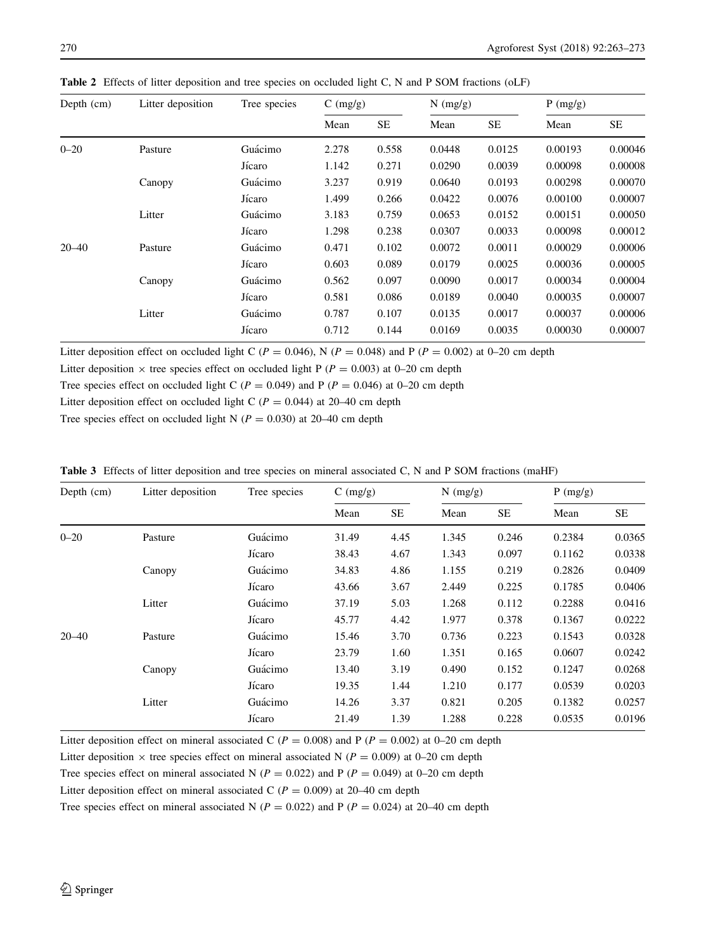| Depth $(cm)$ | Litter deposition | Tree species | $C \left( \frac{mg}{g} \right)$ |       | $N$ (mg/g) |           | P(mg/g) |         |
|--------------|-------------------|--------------|---------------------------------|-------|------------|-----------|---------|---------|
|              |                   |              | Mean                            | SE    | Mean       | <b>SE</b> | Mean    | SE      |
| $0 - 20$     | Pasture           | Guácimo      | 2.278                           | 0.558 | 0.0448     | 0.0125    | 0.00193 | 0.00046 |
|              |                   | Jícaro       | 1.142                           | 0.271 | 0.0290     | 0.0039    | 0.00098 | 0.00008 |
|              | Canopy            | Guácimo      | 3.237                           | 0.919 | 0.0640     | 0.0193    | 0.00298 | 0.00070 |
|              |                   | Jícaro       | 1.499                           | 0.266 | 0.0422     | 0.0076    | 0.00100 | 0.00007 |
|              | Litter            | Guácimo      | 3.183                           | 0.759 | 0.0653     | 0.0152    | 0.00151 | 0.00050 |
|              |                   | Jícaro       | 1.298                           | 0.238 | 0.0307     | 0.0033    | 0.00098 | 0.00012 |
| $20 - 40$    | Pasture           | Guácimo      | 0.471                           | 0.102 | 0.0072     | 0.0011    | 0.00029 | 0.00006 |
|              |                   | Jícaro       | 0.603                           | 0.089 | 0.0179     | 0.0025    | 0.00036 | 0.00005 |
|              | Canopy            | Guácimo      | 0.562                           | 0.097 | 0.0090     | 0.0017    | 0.00034 | 0.00004 |
|              |                   | Jícaro       | 0.581                           | 0.086 | 0.0189     | 0.0040    | 0.00035 | 0.00007 |
|              | Litter            | Guácimo      | 0.787                           | 0.107 | 0.0135     | 0.0017    | 0.00037 | 0.00006 |
|              |                   | Jícaro       | 0.712                           | 0.144 | 0.0169     | 0.0035    | 0.00030 | 0.00007 |

<span id="page-7-0"></span>Table 2 Effects of litter deposition and tree species on occluded light C, N and P SOM fractions (oLF)

Litter deposition effect on occluded light C ( $P = 0.046$ ), N ( $P = 0.048$ ) and P ( $P = 0.002$ ) at 0–20 cm depth

Litter deposition  $\times$  tree species effect on occluded light P (P = 0.003) at 0–20 cm depth

Tree species effect on occluded light C ( $P = 0.049$ ) and P ( $P = 0.046$ ) at 0–20 cm depth

Litter deposition effect on occluded light C ( $P = 0.044$ ) at 20–40 cm depth

Tree species effect on occluded light N ( $P = 0.030$ ) at 20–40 cm depth

Table 3 Effects of litter deposition and tree species on mineral associated C, N and P SOM fractions (maHF)

| Depth (cm) | Litter deposition | Tree species | $C \left( \frac{mg}{g} \right)$ |      | $N$ (mg/g) |           | P(mg/g) |        |
|------------|-------------------|--------------|---------------------------------|------|------------|-----------|---------|--------|
|            |                   |              | Mean                            | SE   | Mean       | <b>SE</b> | Mean    | SE     |
| $0 - 20$   | Pasture           | Guácimo      | 31.49                           | 4.45 | 1.345      | 0.246     | 0.2384  | 0.0365 |
|            |                   | Jícaro       | 38.43                           | 4.67 | 1.343      | 0.097     | 0.1162  | 0.0338 |
|            | Canopy            | Guácimo      | 34.83                           | 4.86 | 1.155      | 0.219     | 0.2826  | 0.0409 |
|            |                   | Jícaro       | 43.66                           | 3.67 | 2.449      | 0.225     | 0.1785  | 0.0406 |
|            | Litter            | Guácimo      | 37.19                           | 5.03 | 1.268      | 0.112     | 0.2288  | 0.0416 |
|            |                   | Jícaro       | 45.77                           | 4.42 | 1.977      | 0.378     | 0.1367  | 0.0222 |
| $20 - 40$  | Pasture           | Guácimo      | 15.46                           | 3.70 | 0.736      | 0.223     | 0.1543  | 0.0328 |
|            |                   | Jícaro       | 23.79                           | 1.60 | 1.351      | 0.165     | 0.0607  | 0.0242 |
|            | Canopy            | Guácimo      | 13.40                           | 3.19 | 0.490      | 0.152     | 0.1247  | 0.0268 |
|            |                   | Jícaro       | 19.35                           | 1.44 | 1.210      | 0.177     | 0.0539  | 0.0203 |
|            | Litter            | Guácimo      | 14.26                           | 3.37 | 0.821      | 0.205     | 0.1382  | 0.0257 |
|            |                   | Jícaro       | 21.49                           | 1.39 | 1.288      | 0.228     | 0.0535  | 0.0196 |

Litter deposition effect on mineral associated C ( $P = 0.008$ ) and P ( $P = 0.002$ ) at 0–20 cm depth

Litter deposition  $\times$  tree species effect on mineral associated N ( $P = 0.009$ ) at 0–20 cm depth

Tree species effect on mineral associated N ( $P = 0.022$ ) and P ( $P = 0.049$ ) at 0–20 cm depth

Litter deposition effect on mineral associated C ( $P = 0.009$ ) at 20–40 cm depth

Tree species effect on mineral associated N ( $P = 0.022$ ) and P ( $P = 0.024$ ) at 20–40 cm depth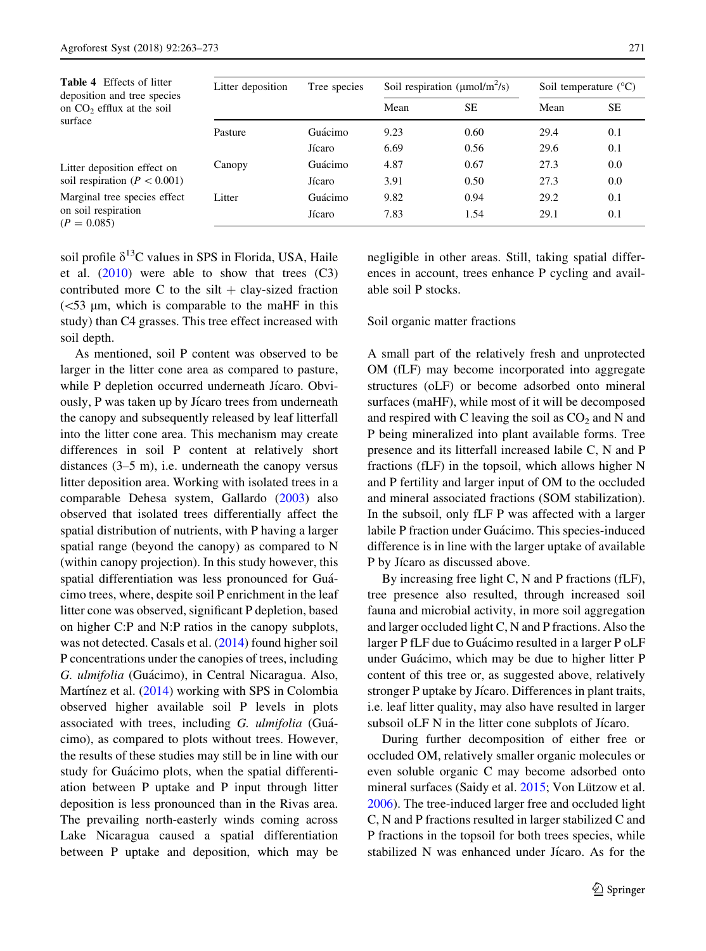$(P$ 

<span id="page-8-0"></span>

| <b>Table 4</b> Effects of litter<br>deposition and tree species | Litter deposition | Tree species | Soil respiration ( $\mu$ mol/m <sup>2</sup> /s) |           | Soil temperature $(^{\circ}C)$ |           |
|-----------------------------------------------------------------|-------------------|--------------|-------------------------------------------------|-----------|--------------------------------|-----------|
| on $CO2$ efflux at the soil                                     |                   |              | Mean                                            | <b>SE</b> | Mean                           | <b>SE</b> |
| surface                                                         | Pasture           | Guácimo      | 9.23                                            | 0.60      | 29.4                           | 0.1       |
|                                                                 |                   | Jícaro       | 6.69                                            | 0.56      | 29.6                           | 0.1       |
| Litter deposition effect on                                     | Canopy            | Guácimo      | 4.87                                            | 0.67      | 27.3                           | 0.0       |
| soil respiration ( $P < 0.001$ )                                |                   | Jícaro       | 3.91                                            | 0.50      | 27.3                           | 0.0       |
| Marginal tree species effect                                    | Litter            | Guácimo      | 9.82                                            | 0.94      | 29.2                           | 0.1       |
| on soil respiration<br>$(P = 0.085)$                            |                   | Jícaro       | 7.83                                            | 1.54      | 29.1                           | 0.1       |

soil profile  $\delta^{13}$ C values in SPS in Florida, USA, Haile et al. [\(2010](#page-10-0)) were able to show that trees (C3) contributed more C to the silt  $+$  clay-sized fraction  $\approx$  153 µm, which is comparable to the maHF in this study) than C4 grasses. This tree effect increased with soil depth.

As mentioned, soil P content was observed to be larger in the litter cone area as compared to pasture, while P depletion occurred underneath Jícaro. Obviously, P was taken up by Jicaro trees from underneath the canopy and subsequently released by leaf litterfall into the litter cone area. This mechanism may create differences in soil P content at relatively short distances (3–5 m), i.e. underneath the canopy versus litter deposition area. Working with isolated trees in a comparable Dehesa system, Gallardo ([2003\)](#page-10-0) also observed that isolated trees differentially affect the spatial distribution of nutrients, with P having a larger spatial range (beyond the canopy) as compared to N (within canopy projection). In this study however, this spatial differentiation was less pronounced for Guácimo trees, where, despite soil P enrichment in the leaf litter cone was observed, significant P depletion, based on higher C:P and N:P ratios in the canopy subplots, was not detected. Casals et al. ([2014\)](#page-9-0) found higher soil P concentrations under the canopies of trees, including G. ulmifolia (Guácimo), in Central Nicaragua. Also, Martínez et al.  $(2014)$  $(2014)$  working with SPS in Colombia observed higher available soil P levels in plots associated with trees, including G. ulmifolia (Guácimo), as compared to plots without trees. However, the results of these studies may still be in line with our study for Guácimo plots, when the spatial differentiation between P uptake and P input through litter deposition is less pronounced than in the Rivas area. The prevailing north-easterly winds coming across Lake Nicaragua caused a spatial differentiation between P uptake and deposition, which may be

negligible in other areas. Still, taking spatial differences in account, trees enhance P cycling and available soil P stocks.

#### Soil organic matter fractions

A small part of the relatively fresh and unprotected OM (fLF) may become incorporated into aggregate structures (oLF) or become adsorbed onto mineral surfaces (maHF), while most of it will be decomposed and respired with C leaving the soil as  $CO<sub>2</sub>$  and N and P being mineralized into plant available forms. Tree presence and its litterfall increased labile C, N and P fractions (fLF) in the topsoil, which allows higher N and P fertility and larger input of OM to the occluded and mineral associated fractions (SOM stabilization). In the subsoil, only fLF P was affected with a larger labile P fraction under Guácimo. This species-induced difference is in line with the larger uptake of available P by Jícaro as discussed above.

By increasing free light C, N and P fractions (fLF), tree presence also resulted, through increased soil fauna and microbial activity, in more soil aggregation and larger occluded light C, N and P fractions. Also the larger P fLF due to Guácimo resulted in a larger P oLF under Guácimo, which may be due to higher litter P content of this tree or, as suggested above, relatively stronger P uptake by Jícaro. Differences in plant traits, i.e. leaf litter quality, may also have resulted in larger subsoil oLF N in the litter cone subplots of Jícaro.

During further decomposition of either free or occluded OM, relatively smaller organic molecules or even soluble organic C may become adsorbed onto mineral surfaces (Saidy et al. [2015](#page-10-0); Von Lützow et al. [2006\)](#page-10-0). The tree-induced larger free and occluded light C, N and P fractions resulted in larger stabilized C and P fractions in the topsoil for both trees species, while stabilized N was enhanced under Jícaro. As for the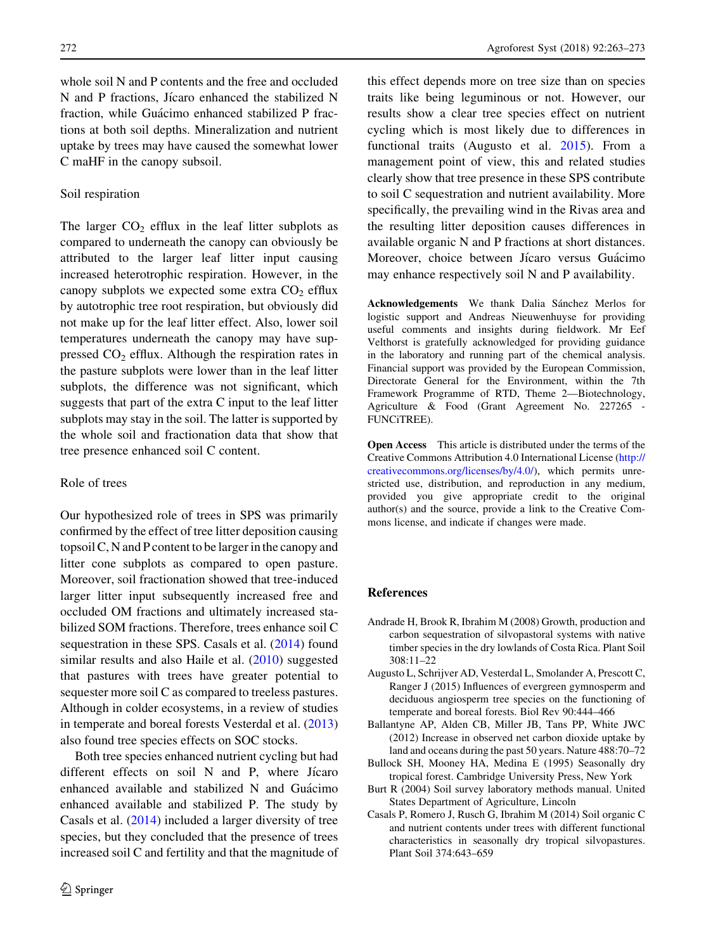<span id="page-9-0"></span>whole soil N and P contents and the free and occluded N and P fractions, Jicaro enhanced the stabilized N fraction, while Guácimo enhanced stabilized P fractions at both soil depths. Mineralization and nutrient uptake by trees may have caused the somewhat lower C maHF in the canopy subsoil.

## Soil respiration

The larger  $CO<sub>2</sub>$  efflux in the leaf litter subplots as compared to underneath the canopy can obviously be attributed to the larger leaf litter input causing increased heterotrophic respiration. However, in the canopy subplots we expected some extra  $CO<sub>2</sub>$  efflux by autotrophic tree root respiration, but obviously did not make up for the leaf litter effect. Also, lower soil temperatures underneath the canopy may have suppressed  $CO<sub>2</sub>$  efflux. Although the respiration rates in the pasture subplots were lower than in the leaf litter subplots, the difference was not significant, which suggests that part of the extra C input to the leaf litter subplots may stay in the soil. The latter is supported by the whole soil and fractionation data that show that tree presence enhanced soil C content.

# Role of trees

Our hypothesized role of trees in SPS was primarily confirmed by the effect of tree litter deposition causing topsoil C, N and P content to be larger in the canopy and litter cone subplots as compared to open pasture. Moreover, soil fractionation showed that tree-induced larger litter input subsequently increased free and occluded OM fractions and ultimately increased stabilized SOM fractions. Therefore, trees enhance soil C sequestration in these SPS. Casals et al. (2014) found similar results and also Haile et al. [\(2010](#page-10-0)) suggested that pastures with trees have greater potential to sequester more soil C as compared to treeless pastures. Although in colder ecosystems, in a review of studies in temperate and boreal forests Vesterdal et al. ([2013\)](#page-10-0) also found tree species effects on SOC stocks.

Both tree species enhanced nutrient cycling but had different effects on soil  $N$  and  $P$ , where Jicaro enhanced available and stabilized  $N$  and Guacimo enhanced available and stabilized P. The study by Casals et al. (2014) included a larger diversity of tree species, but they concluded that the presence of trees increased soil C and fertility and that the magnitude of this effect depends more on tree size than on species traits like being leguminous or not. However, our results show a clear tree species effect on nutrient cycling which is most likely due to differences in functional traits (Augusto et al. 2015). From a management point of view, this and related studies clearly show that tree presence in these SPS contribute to soil C sequestration and nutrient availability. More specifically, the prevailing wind in the Rivas area and the resulting litter deposition causes differences in available organic N and P fractions at short distances. Moreover, choice between Jícaro versus Guácimo may enhance respectively soil N and P availability.

Acknowledgements We thank Dalia Sánchez Merlos for logistic support and Andreas Nieuwenhuyse for providing useful comments and insights during fieldwork. Mr Eef Velthorst is gratefully acknowledged for providing guidance in the laboratory and running part of the chemical analysis. Financial support was provided by the European Commission, Directorate General for the Environment, within the 7th Framework Programme of RTD, Theme 2—Biotechnology, Agriculture & Food (Grant Agreement No. 227265 - FUNCiTREE).

Open Access This article is distributed under the terms of the Creative Commons Attribution 4.0 International License ([http://](http://creativecommons.org/licenses/by/4.0/) [creativecommons.org/licenses/by/4.0/\)](http://creativecommons.org/licenses/by/4.0/), which permits unrestricted use, distribution, and reproduction in any medium, provided you give appropriate credit to the original author(s) and the source, provide a link to the Creative Commons license, and indicate if changes were made.

## References

- Andrade H, Brook R, Ibrahim M (2008) Growth, production and carbon sequestration of silvopastoral systems with native timber species in the dry lowlands of Costa Rica. Plant Soil 308:11–22
- Augusto L, Schrijver AD, Vesterdal L, Smolander A, Prescott C, Ranger J (2015) Influences of evergreen gymnosperm and deciduous angiosperm tree species on the functioning of temperate and boreal forests. Biol Rev 90:444–466
- Ballantyne AP, Alden CB, Miller JB, Tans PP, White JWC (2012) Increase in observed net carbon dioxide uptake by land and oceans during the past 50 years. Nature 488:70–72
- Bullock SH, Mooney HA, Medina E (1995) Seasonally dry tropical forest. Cambridge University Press, New York
- Burt R (2004) Soil survey laboratory methods manual. United States Department of Agriculture, Lincoln
- Casals P, Romero J, Rusch G, Ibrahim M (2014) Soil organic C and nutrient contents under trees with different functional characteristics in seasonally dry tropical silvopastures. Plant Soil 374:643–659